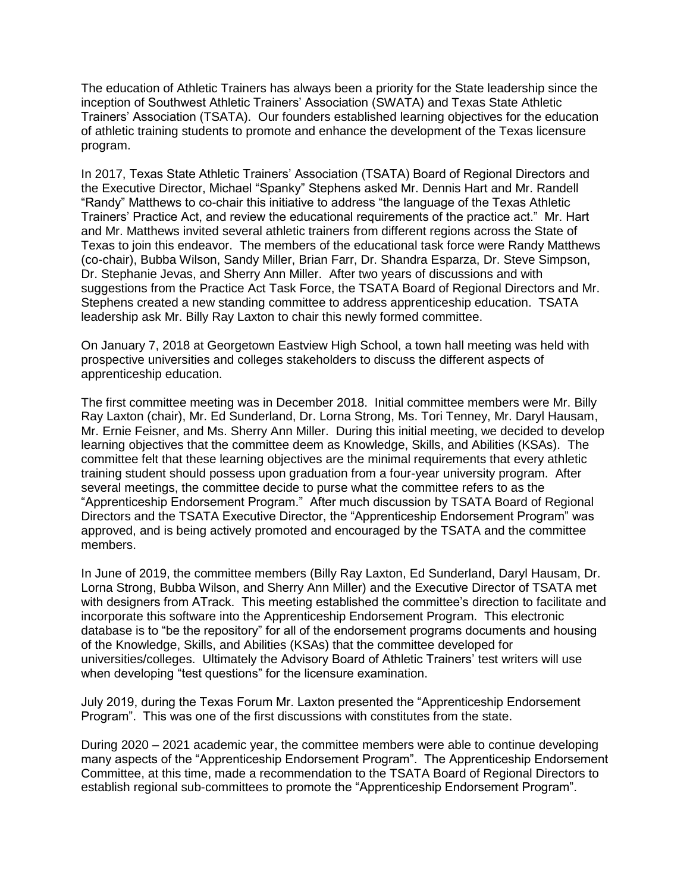The education of Athletic Trainers has always been a priority for the State leadership since the inception of Southwest Athletic Trainers' Association (SWATA) and Texas State Athletic Trainers' Association (TSATA). Our founders established learning objectives for the education of athletic training students to promote and enhance the development of the Texas licensure program.

In 2017, Texas State Athletic Trainers' Association (TSATA) Board of Regional Directors and the Executive Director, Michael "Spanky" Stephens asked Mr. Dennis Hart and Mr. Randell "Randy" Matthews to co-chair this initiative to address "the language of the Texas Athletic Trainers' Practice Act, and review the educational requirements of the practice act." Mr. Hart and Mr. Matthews invited several athletic trainers from different regions across the State of Texas to join this endeavor. The members of the educational task force were Randy Matthews (co-chair), Bubba Wilson, Sandy Miller, Brian Farr, Dr. Shandra Esparza, Dr. Steve Simpson, Dr. Stephanie Jevas, and Sherry Ann Miller. After two years of discussions and with suggestions from the Practice Act Task Force, the TSATA Board of Regional Directors and Mr. Stephens created a new standing committee to address apprenticeship education. TSATA leadership ask Mr. Billy Ray Laxton to chair this newly formed committee.

On January 7, 2018 at Georgetown Eastview High School, a town hall meeting was held with prospective universities and colleges stakeholders to discuss the different aspects of apprenticeship education.

The first committee meeting was in December 2018. Initial committee members were Mr. Billy Ray Laxton (chair), Mr. Ed Sunderland, Dr. Lorna Strong, Ms. Tori Tenney, Mr. Daryl Hausam, Mr. Ernie Feisner, and Ms. Sherry Ann Miller. During this initial meeting, we decided to develop learning objectives that the committee deem as Knowledge, Skills, and Abilities (KSAs). The committee felt that these learning objectives are the minimal requirements that every athletic training student should possess upon graduation from a four-year university program. After several meetings, the committee decide to purse what the committee refers to as the "Apprenticeship Endorsement Program." After much discussion by TSATA Board of Regional Directors and the TSATA Executive Director, the "Apprenticeship Endorsement Program" was approved, and is being actively promoted and encouraged by the TSATA and the committee members.

In June of 2019, the committee members (Billy Ray Laxton, Ed Sunderland, Daryl Hausam, Dr. Lorna Strong, Bubba Wilson, and Sherry Ann Miller) and the Executive Director of TSATA met with designers from ATrack. This meeting established the committee's direction to facilitate and incorporate this software into the Apprenticeship Endorsement Program. This electronic database is to "be the repository" for all of the endorsement programs documents and housing of the Knowledge, Skills, and Abilities (KSAs) that the committee developed for universities/colleges. Ultimately the Advisory Board of Athletic Trainers' test writers will use when developing "test questions" for the licensure examination.

July 2019, during the Texas Forum Mr. Laxton presented the "Apprenticeship Endorsement Program". This was one of the first discussions with constitutes from the state.

During 2020 – 2021 academic year, the committee members were able to continue developing many aspects of the "Apprenticeship Endorsement Program". The Apprenticeship Endorsement Committee, at this time, made a recommendation to the TSATA Board of Regional Directors to establish regional sub-committees to promote the "Apprenticeship Endorsement Program".